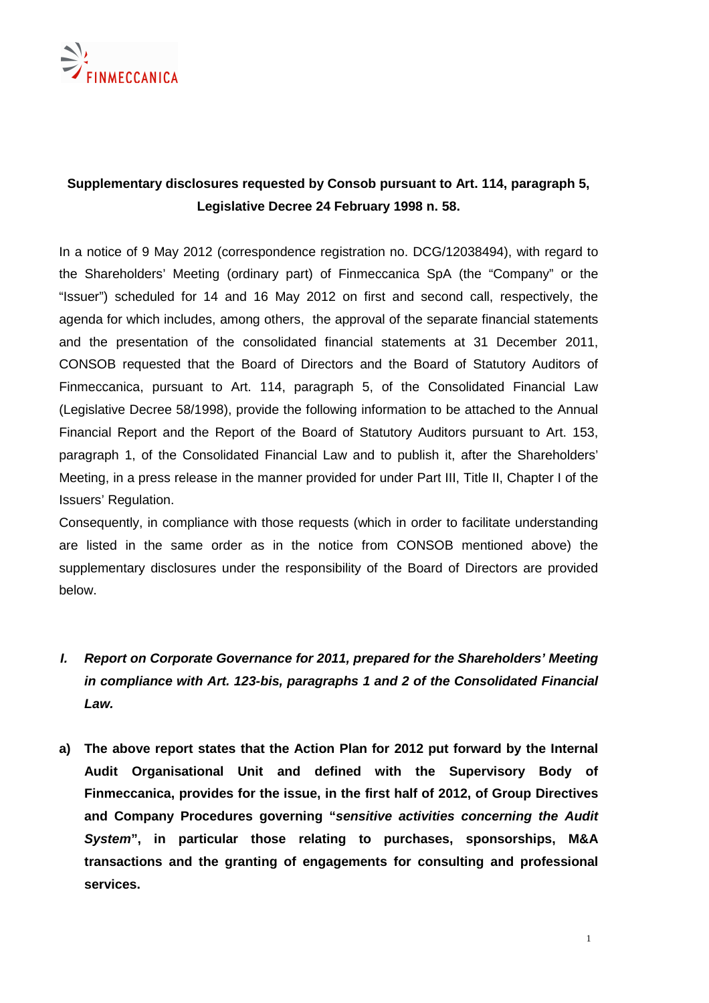

## **Supplementary disclosures requested by Consob pursuant to Art. 114, paragraph 5, Legislative Decree 24 February 1998 n. 58.**

In a notice of 9 May 2012 (correspondence registration no. DCG/12038494), with regard to the Shareholders' Meeting (ordinary part) of Finmeccanica SpA (the "Company" or the "Issuer") scheduled for 14 and 16 May 2012 on first and second call, respectively, the agenda for which includes, among others, the approval of the separate financial statements and the presentation of the consolidated financial statements at 31 December 2011, CONSOB requested that the Board of Directors and the Board of Statutory Auditors of Finmeccanica, pursuant to Art. 114, paragraph 5, of the Consolidated Financial Law (Legislative Decree 58/1998), provide the following information to be attached to the Annual Financial Report and the Report of the Board of Statutory Auditors pursuant to Art. 153, paragraph 1, of the Consolidated Financial Law and to publish it, after the Shareholders' Meeting, in a press release in the manner provided for under Part III, Title II, Chapter I of the Issuers' Regulation.

Consequently, in compliance with those requests (which in order to facilitate understanding are listed in the same order as in the notice from CONSOB mentioned above) the supplementary disclosures under the responsibility of the Board of Directors are provided below.

## **I. Report on Corporate Governance for 2011, prepared for the Shareholders' Meeting in compliance with Art. 123-bis, paragraphs 1 and 2 of the Consolidated Financial Law.**

**a) The above report states that the Action Plan for 2012 put forward by the Internal Audit Organisational Unit and defined with the Supervisory Body of Finmeccanica, provides for the issue, in the first half of 2012, of Group Directives and Company Procedures governing "sensitive activities concerning the Audit System", in particular those relating to purchases, sponsorships, M&A transactions and the granting of engagements for consulting and professional services.**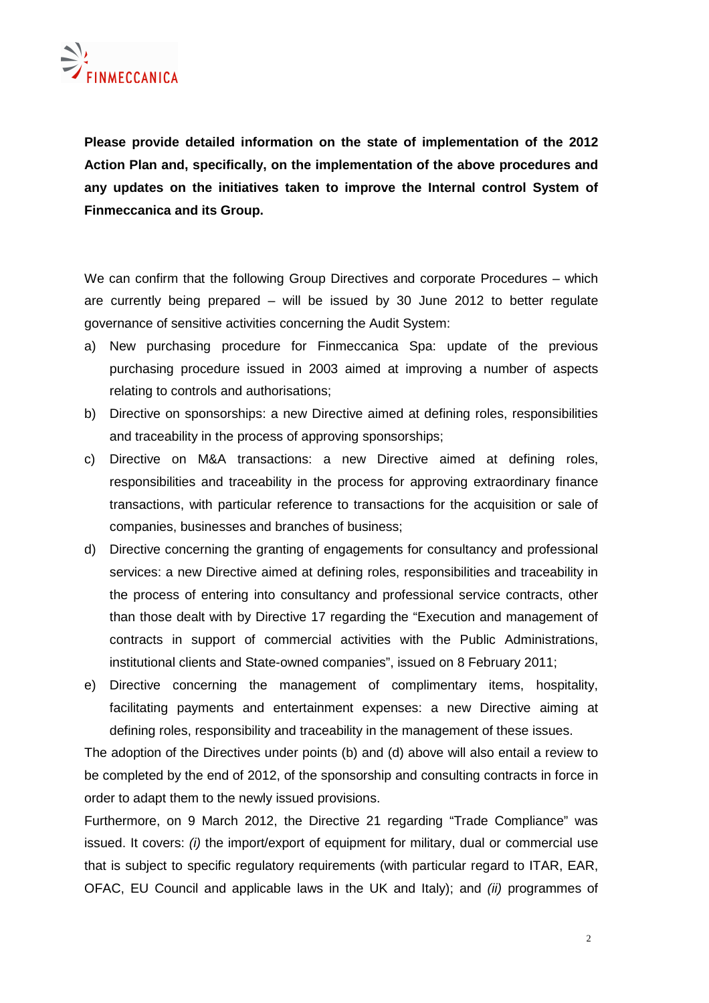**Please provide detailed information on the state of implementation of the 2012 Action Plan and, specifically, on the implementation of the above procedures and any updates on the initiatives taken to improve the Internal control System of Finmeccanica and its Group.** 

We can confirm that the following Group Directives and corporate Procedures – which are currently being prepared – will be issued by 30 June 2012 to better regulate governance of sensitive activities concerning the Audit System:

- a) New purchasing procedure for Finmeccanica Spa: update of the previous purchasing procedure issued in 2003 aimed at improving a number of aspects relating to controls and authorisations;
- b) Directive on sponsorships: a new Directive aimed at defining roles, responsibilities and traceability in the process of approving sponsorships;
- c) Directive on M&A transactions: a new Directive aimed at defining roles, responsibilities and traceability in the process for approving extraordinary finance transactions, with particular reference to transactions for the acquisition or sale of companies, businesses and branches of business;
- d) Directive concerning the granting of engagements for consultancy and professional services: a new Directive aimed at defining roles, responsibilities and traceability in the process of entering into consultancy and professional service contracts, other than those dealt with by Directive 17 regarding the "Execution and management of contracts in support of commercial activities with the Public Administrations, institutional clients and State-owned companies", issued on 8 February 2011;
- e) Directive concerning the management of complimentary items, hospitality, facilitating payments and entertainment expenses: a new Directive aiming at defining roles, responsibility and traceability in the management of these issues.

The adoption of the Directives under points (b) and (d) above will also entail a review to be completed by the end of 2012, of the sponsorship and consulting contracts in force in order to adapt them to the newly issued provisions.

Furthermore, on 9 March 2012, the Directive 21 regarding "Trade Compliance" was issued. It covers:  $(i)$  the import/export of equipment for military, dual or commercial use that is subject to specific regulatory requirements (with particular regard to ITAR, EAR, OFAC, EU Council and applicable laws in the UK and Italy); and (ii) programmes of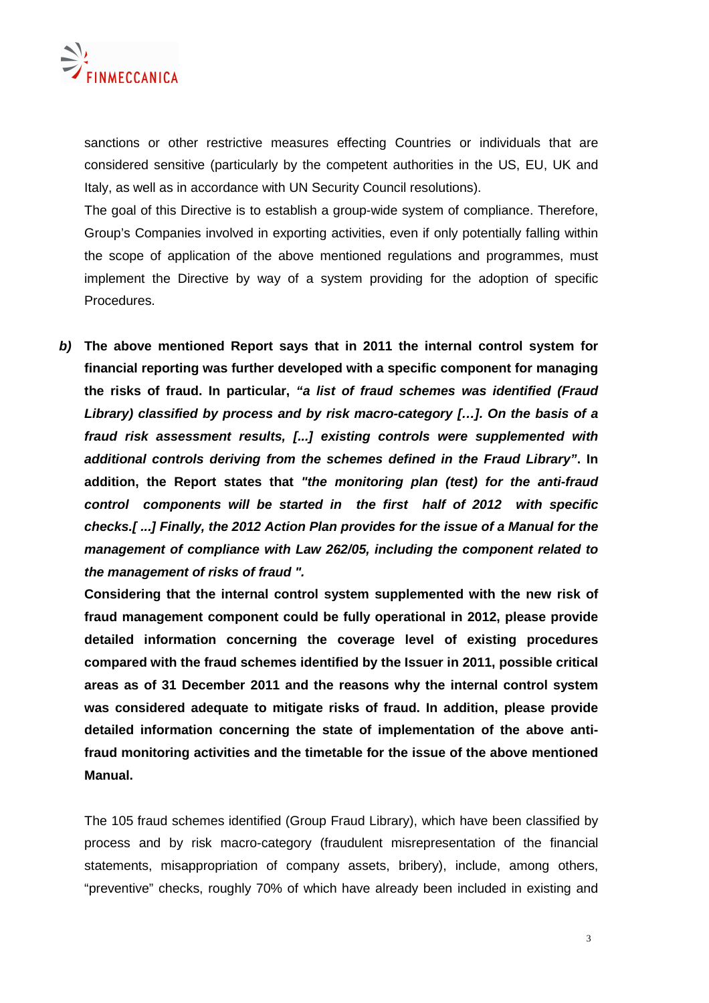

sanctions or other restrictive measures effecting Countries or individuals that are considered sensitive (particularly by the competent authorities in the US, EU, UK and Italy, as well as in accordance with UN Security Council resolutions).

The goal of this Directive is to establish a group-wide system of compliance. Therefore, Group's Companies involved in exporting activities, even if only potentially falling within the scope of application of the above mentioned regulations and programmes, must implement the Directive by way of a system providing for the adoption of specific Procedures.

**b) The above mentioned Report says that in 2011 the internal control system for financial reporting was further developed with a specific component for managing the risks of fraud. In particular, "a list of fraud schemes was identified (Fraud Library) classified by process and by risk macro-category […]. On the basis of a fraud risk assessment results, [...] existing controls were supplemented with additional controls deriving from the schemes defined in the Fraud Library". In addition, the Report states that "the monitoring plan (test) for the anti-fraud control components will be started in the first half of 2012 with specific checks.[ ...] Finally, the 2012 Action Plan provides for the issue of a Manual for the management of compliance with Law 262/05, including the component related to the management of risks of fraud ".** 

**Considering that the internal control system supplemented with the new risk of fraud management component could be fully operational in 2012, please provide detailed information concerning the coverage level of existing procedures compared with the fraud schemes identified by the Issuer in 2011, possible critical areas as of 31 December 2011 and the reasons why the internal control system was considered adequate to mitigate risks of fraud. In addition, please provide detailed information concerning the state of implementation of the above antifraud monitoring activities and the timetable for the issue of the above mentioned Manual.** 

The 105 fraud schemes identified (Group Fraud Library), which have been classified by process and by risk macro-category (fraudulent misrepresentation of the financial statements, misappropriation of company assets, bribery), include, among others, "preventive" checks, roughly 70% of which have already been included in existing and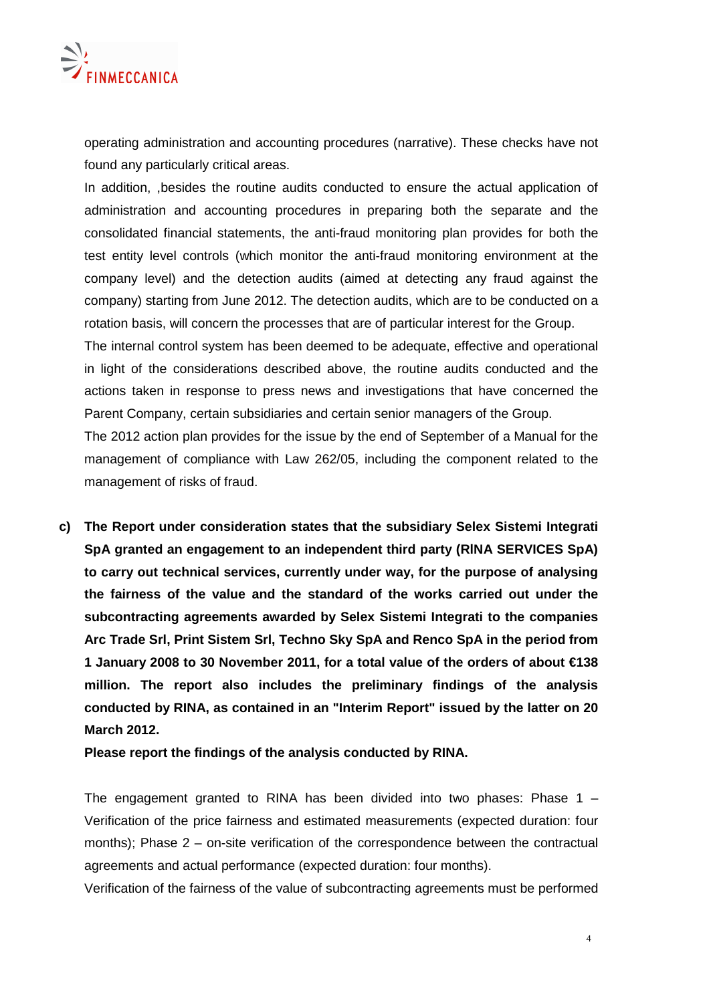

operating administration and accounting procedures (narrative). These checks have not found any particularly critical areas.

In addition, ,besides the routine audits conducted to ensure the actual application of administration and accounting procedures in preparing both the separate and the consolidated financial statements, the anti-fraud monitoring plan provides for both the test entity level controls (which monitor the anti-fraud monitoring environment at the company level) and the detection audits (aimed at detecting any fraud against the company) starting from June 2012. The detection audits, which are to be conducted on a rotation basis, will concern the processes that are of particular interest for the Group.

The internal control system has been deemed to be adequate, effective and operational in light of the considerations described above, the routine audits conducted and the actions taken in response to press news and investigations that have concerned the Parent Company, certain subsidiaries and certain senior managers of the Group.

The 2012 action plan provides for the issue by the end of September of a Manual for the management of compliance with Law 262/05, including the component related to the management of risks of fraud.

**c) The Report under consideration states that the subsidiary Selex Sistemi Integrati SpA granted an engagement to an independent third party (RlNA SERVICES SpA) to carry out technical services, currently under way, for the purpose of analysing the fairness of the value and the standard of the works carried out under the subcontracting agreements awarded by Selex Sistemi Integrati to the companies Arc Trade Srl, Print Sistem Srl, Techno Sky SpA and Renco SpA in the period from 1 January 2008 to 30 November 2011, for a total value of the orders of about €138 million. The report also includes the preliminary findings of the analysis conducted by RINA, as contained in an "Interim Report" issued by the latter on 20 March 2012.** 

**Please report the findings of the analysis conducted by RINA.** 

The engagement granted to RINA has been divided into two phases: Phase  $1 -$ Verification of the price fairness and estimated measurements (expected duration: four months); Phase 2 – on-site verification of the correspondence between the contractual agreements and actual performance (expected duration: four months).

Verification of the fairness of the value of subcontracting agreements must be performed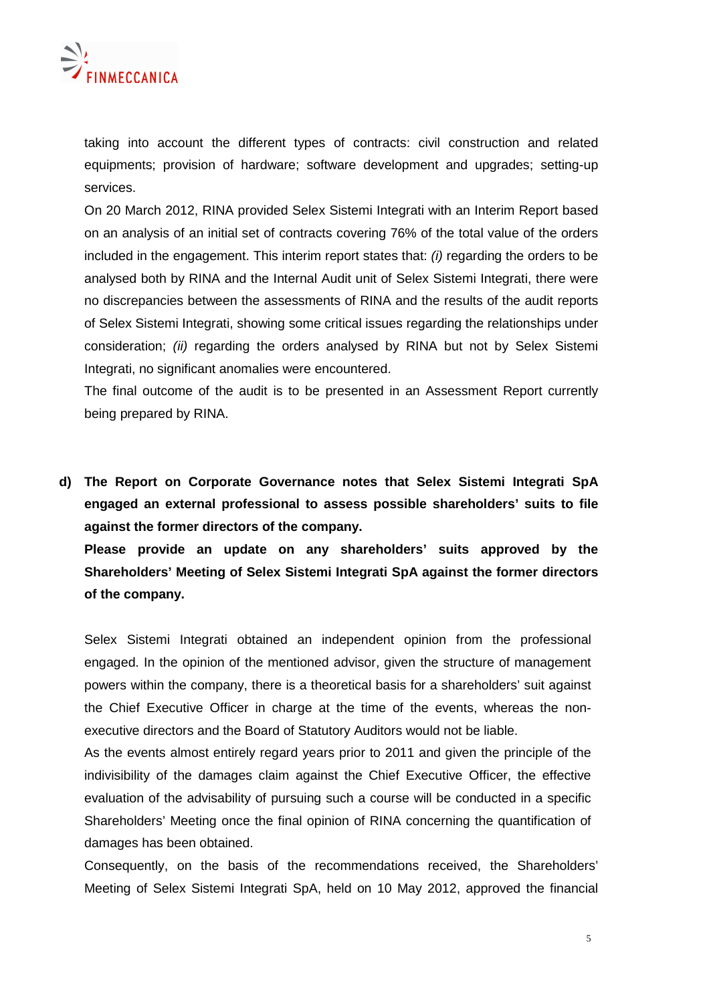

taking into account the different types of contracts: civil construction and related equipments; provision of hardware; software development and upgrades; setting-up services.

On 20 March 2012, RINA provided Selex Sistemi Integrati with an Interim Report based on an analysis of an initial set of contracts covering 76% of the total value of the orders included in the engagement. This interim report states that: (i) regarding the orders to be analysed both by RINA and the Internal Audit unit of Selex Sistemi Integrati, there were no discrepancies between the assessments of RINA and the results of the audit reports of Selex Sistemi Integrati, showing some critical issues regarding the relationships under consideration; (ii) regarding the orders analysed by RINA but not by Selex Sistemi Integrati, no significant anomalies were encountered.

The final outcome of the audit is to be presented in an Assessment Report currently being prepared by RINA.

**d) The Report on Corporate Governance notes that Selex Sistemi Integrati SpA engaged an external professional to assess possible shareholders' suits to file against the former directors of the company.** 

**Please provide an update on any shareholders' suits approved by the Shareholders' Meeting of Selex Sistemi Integrati SpA against the former directors of the company.** 

Selex Sistemi Integrati obtained an independent opinion from the professional engaged. In the opinion of the mentioned advisor, given the structure of management powers within the company, there is a theoretical basis for a shareholders' suit against the Chief Executive Officer in charge at the time of the events, whereas the nonexecutive directors and the Board of Statutory Auditors would not be liable.

As the events almost entirely regard years prior to 2011 and given the principle of the indivisibility of the damages claim against the Chief Executive Officer, the effective evaluation of the advisability of pursuing such a course will be conducted in a specific Shareholders' Meeting once the final opinion of RINA concerning the quantification of damages has been obtained.

Consequently, on the basis of the recommendations received, the Shareholders' Meeting of Selex Sistemi Integrati SpA, held on 10 May 2012, approved the financial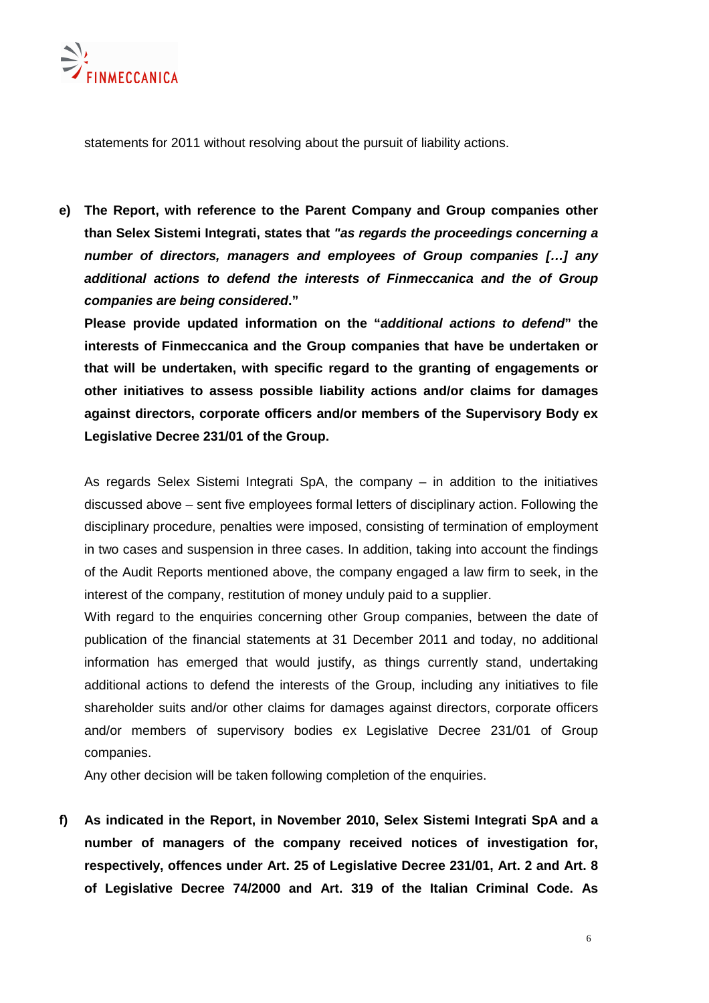

statements for 2011 without resolving about the pursuit of liability actions.

**e) The Report, with reference to the Parent Company and Group companies other than Selex Sistemi Integrati, states that "as regards the proceedings concerning a number of directors, managers and employees of Group companies […] any additional actions to defend the interests of Finmeccanica and the of Group companies are being considered."** 

**Please provide updated information on the "additional actions to defend" the interests of Finmeccanica and the Group companies that have be undertaken or that will be undertaken, with specific regard to the granting of engagements or other initiatives to assess possible liability actions and/or claims for damages against directors, corporate officers and/or members of the Supervisory Body ex Legislative Decree 231/01 of the Group.** 

As regards Selex Sistemi Integrati SpA, the company – in addition to the initiatives discussed above – sent five employees formal letters of disciplinary action. Following the disciplinary procedure, penalties were imposed, consisting of termination of employment in two cases and suspension in three cases. In addition, taking into account the findings of the Audit Reports mentioned above, the company engaged a law firm to seek, in the interest of the company, restitution of money unduly paid to a supplier.

With regard to the enquiries concerning other Group companies, between the date of publication of the financial statements at 31 December 2011 and today, no additional information has emerged that would justify, as things currently stand, undertaking additional actions to defend the interests of the Group, including any initiatives to file shareholder suits and/or other claims for damages against directors, corporate officers and/or members of supervisory bodies ex Legislative Decree 231/01 of Group companies.

Any other decision will be taken following completion of the enquiries.

**f) As indicated in the Report, in November 2010, Selex Sistemi Integrati SpA and a number of managers of the company received notices of investigation for, respectively, offences under Art. 25 of Legislative Decree 231/01, Art. 2 and Art. 8 of Legislative Decree 74/2000 and Art. 319 of the Italian Criminal Code. As**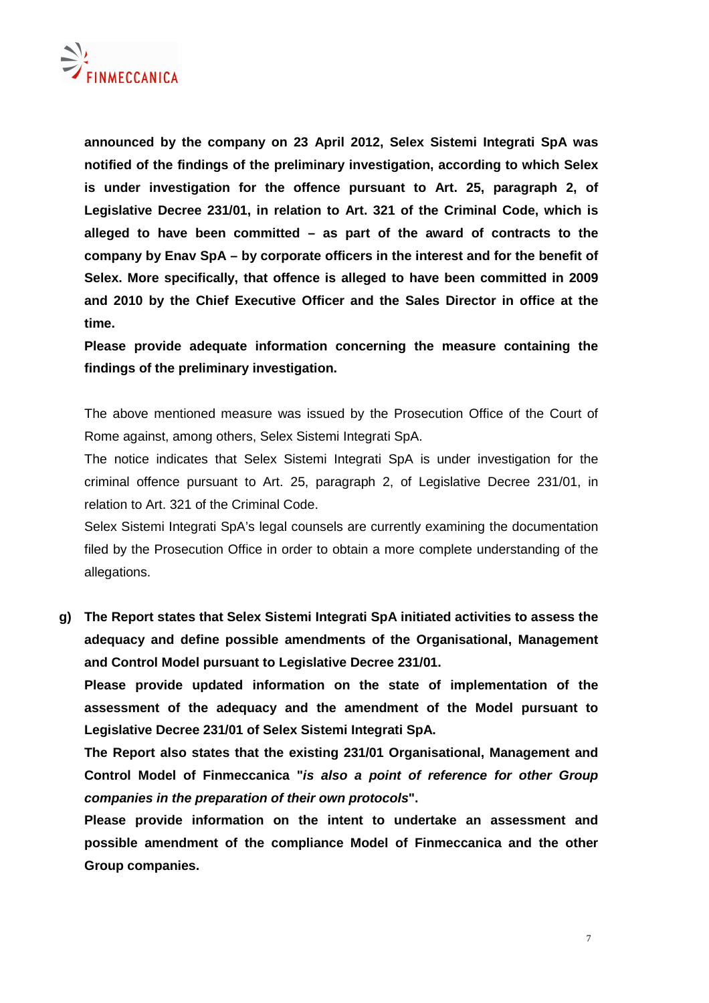

**announced by the company on 23 April 2012, Selex Sistemi Integrati SpA was notified of the findings of the preliminary investigation, according to which Selex is under investigation for the offence pursuant to Art. 25, paragraph 2, of Legislative Decree 231/01, in relation to Art. 321 of the Criminal Code, which is alleged to have been committed – as part of the award of contracts to the company by Enav SpA – by corporate officers in the interest and for the benefit of Selex. More specifically, that offence is alleged to have been committed in 2009 and 2010 by the Chief Executive Officer and the Sales Director in office at the time.** 

**Please provide adequate information concerning the measure containing the findings of the preliminary investigation.**

The above mentioned measure was issued by the Prosecution Office of the Court of Rome against, among others, Selex Sistemi Integrati SpA.

The notice indicates that Selex Sistemi Integrati SpA is under investigation for the criminal offence pursuant to Art. 25, paragraph 2, of Legislative Decree 231/01, in relation to Art. 321 of the Criminal Code.

Selex Sistemi Integrati SpA's legal counsels are currently examining the documentation filed by the Prosecution Office in order to obtain a more complete understanding of the allegations.

**g) The Report states that Selex Sistemi Integrati SpA initiated activities to assess the adequacy and define possible amendments of the Organisational, Management and Control Model pursuant to Legislative Decree 231/01.** 

**Please provide updated information on the state of implementation of the assessment of the adequacy and the amendment of the Model pursuant to Legislative Decree 231/01 of Selex Sistemi Integrati SpA.** 

**The Report also states that the existing 231/01 Organisational, Management and Control Model of Finmeccanica "is also a point of reference for other Group companies in the preparation of their own protocols".** 

**Please provide information on the intent to undertake an assessment and possible amendment of the compliance Model of Finmeccanica and the other Group companies.**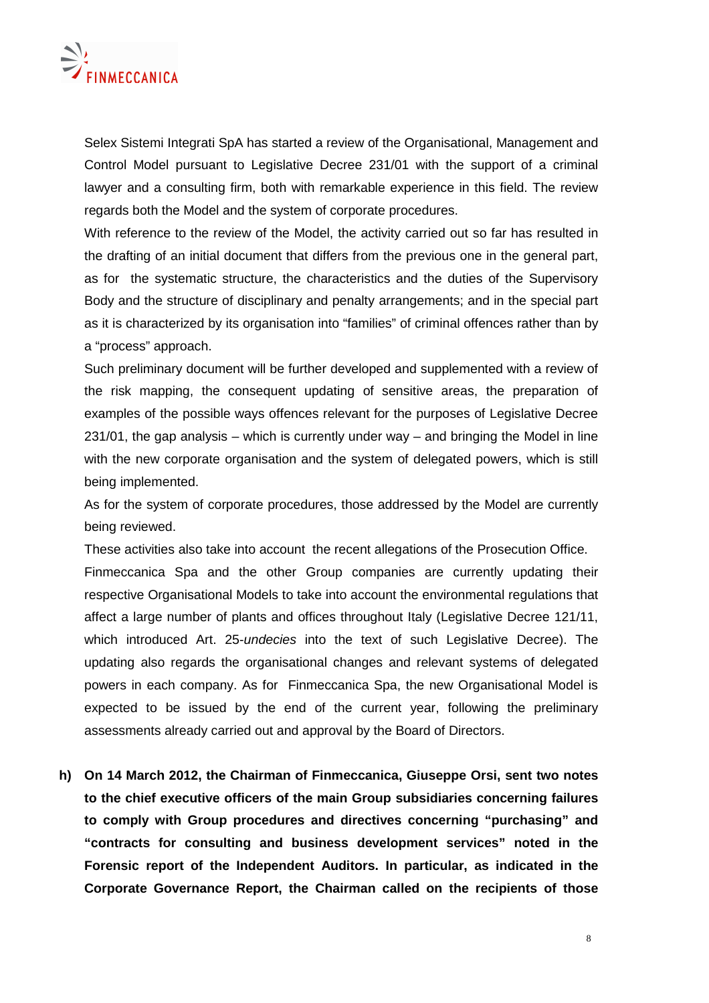

Selex Sistemi Integrati SpA has started a review of the Organisational, Management and Control Model pursuant to Legislative Decree 231/01 with the support of a criminal lawyer and a consulting firm, both with remarkable experience in this field. The review regards both the Model and the system of corporate procedures.

With reference to the review of the Model, the activity carried out so far has resulted in the drafting of an initial document that differs from the previous one in the general part, as for the systematic structure, the characteristics and the duties of the Supervisory Body and the structure of disciplinary and penalty arrangements; and in the special part as it is characterized by its organisation into "families" of criminal offences rather than by a "process" approach.

Such preliminary document will be further developed and supplemented with a review of the risk mapping, the consequent updating of sensitive areas, the preparation of examples of the possible ways offences relevant for the purposes of Legislative Decree 231/01, the gap analysis – which is currently under way – and bringing the Model in line with the new corporate organisation and the system of delegated powers, which is still being implemented.

As for the system of corporate procedures, those addressed by the Model are currently being reviewed.

These activities also take into account the recent allegations of the Prosecution Office.

Finmeccanica Spa and the other Group companies are currently updating their respective Organisational Models to take into account the environmental regulations that affect a large number of plants and offices throughout Italy (Legislative Decree 121/11, which introduced Art. 25-undecies into the text of such Legislative Decree). The updating also regards the organisational changes and relevant systems of delegated powers in each company. As for Finmeccanica Spa, the new Organisational Model is expected to be issued by the end of the current year, following the preliminary assessments already carried out and approval by the Board of Directors.

**h) On 14 March 2012, the Chairman of Finmeccanica, Giuseppe Orsi, sent two notes to the chief executive officers of the main Group subsidiaries concerning failures to comply with Group procedures and directives concerning "purchasing" and "contracts for consulting and business development services" noted in the Forensic report of the Independent Auditors. In particular, as indicated in the Corporate Governance Report, the Chairman called on the recipients of those**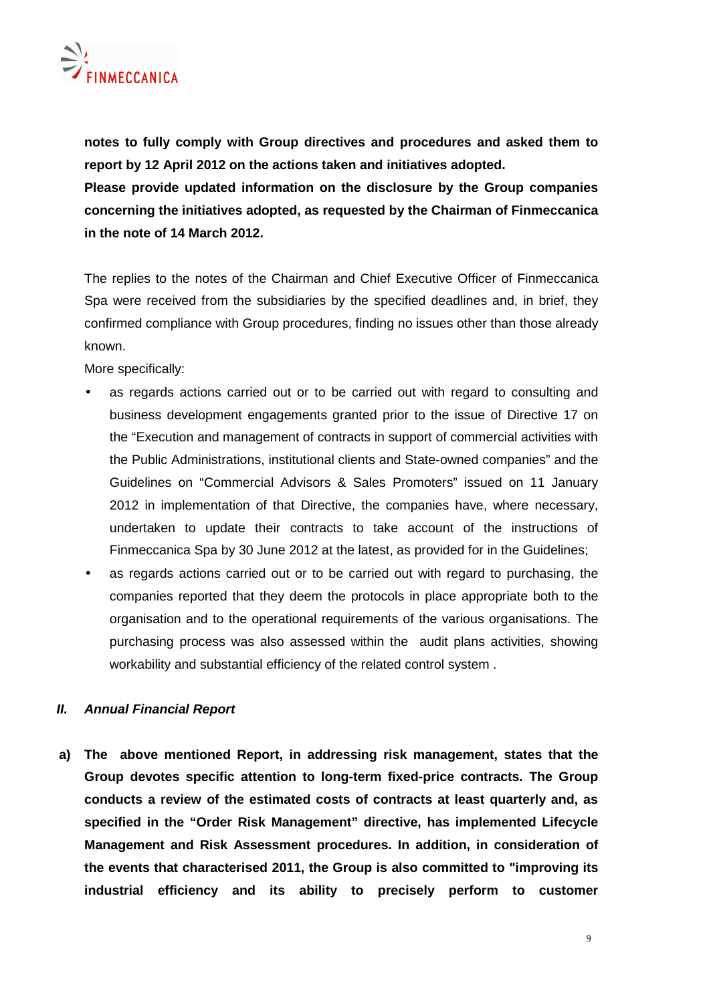**notes to fully comply with Group directives and procedures and asked them to report by 12 April 2012 on the actions taken and initiatives adopted.** 

**Please provide updated information on the disclosure by the Group companies concerning the initiatives adopted, as requested by the Chairman of Finmeccanica in the note of 14 March 2012.** 

The replies to the notes of the Chairman and Chief Executive Officer of Finmeccanica Spa were received from the subsidiaries by the specified deadlines and, in brief, they confirmed compliance with Group procedures, finding no issues other than those already known.

More specifically:

- as regards actions carried out or to be carried out with regard to consulting and business development engagements granted prior to the issue of Directive 17 on the "Execution and management of contracts in support of commercial activities with the Public Administrations, institutional clients and State-owned companies" and the Guidelines on "Commercial Advisors & Sales Promoters" issued on 11 January 2012 in implementation of that Directive, the companies have, where necessary, undertaken to update their contracts to take account of the instructions of Finmeccanica Spa by 30 June 2012 at the latest, as provided for in the Guidelines;
- as regards actions carried out or to be carried out with regard to purchasing, the companies reported that they deem the protocols in place appropriate both to the organisation and to the operational requirements of the various organisations. The purchasing process was also assessed within the audit plans activities, showing workability and substantial efficiency of the related control system .

## **II. Annual Financial Report**

**a) The above mentioned Report, in addressing risk management, states that the Group devotes specific attention to long-term fixed-price contracts. The Group conducts a review of the estimated costs of contracts at least quarterly and, as specified in the "Order Risk Management" directive, has implemented Lifecycle Management and Risk Assessment procedures. In addition, in consideration of the events that characterised 2011, the Group is also committed to "improving its industrial efficiency and its ability to precisely perform to customer**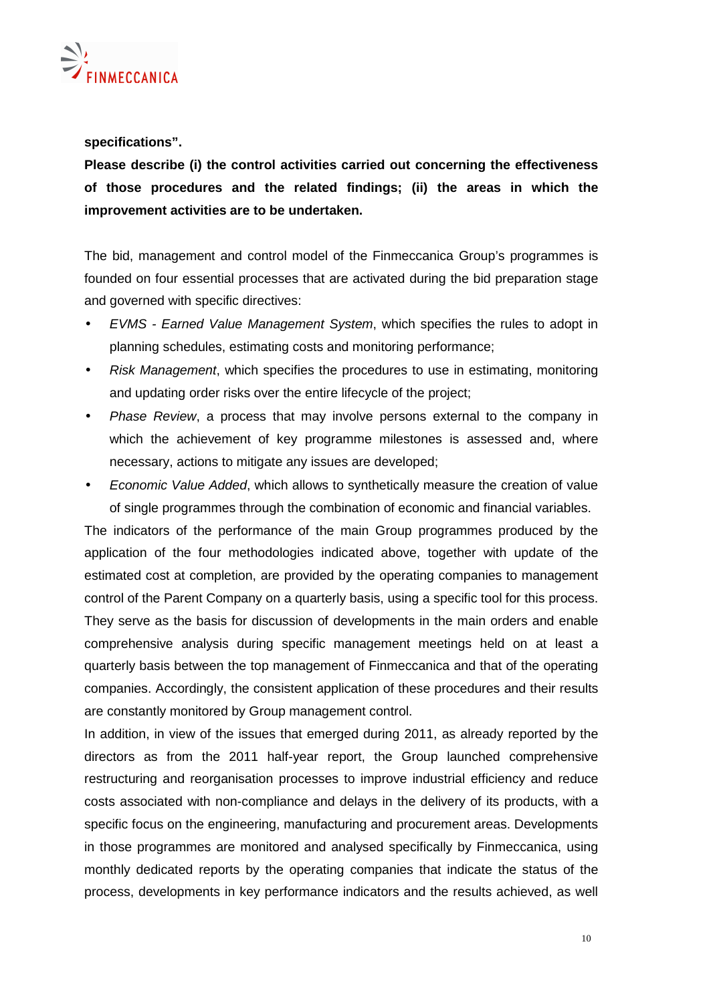

**specifications".** 

**Please describe (i) the control activities carried out concerning the effectiveness of those procedures and the related findings; (ii) the areas in which the improvement activities are to be undertaken.** 

The bid, management and control model of the Finmeccanica Group's programmes is founded on four essential processes that are activated during the bid preparation stage and governed with specific directives:

- EVMS Earned Value Management System, which specifies the rules to adopt in planning schedules, estimating costs and monitoring performance;
- Risk Management, which specifies the procedures to use in estimating, monitoring and updating order risks over the entire lifecycle of the project;
- Phase Review, a process that may involve persons external to the company in which the achievement of key programme milestones is assessed and, where necessary, actions to mitigate any issues are developed;
- Economic Value Added, which allows to synthetically measure the creation of value of single programmes through the combination of economic and financial variables.

The indicators of the performance of the main Group programmes produced by the application of the four methodologies indicated above, together with update of the estimated cost at completion, are provided by the operating companies to management control of the Parent Company on a quarterly basis, using a specific tool for this process. They serve as the basis for discussion of developments in the main orders and enable comprehensive analysis during specific management meetings held on at least a quarterly basis between the top management of Finmeccanica and that of the operating companies. Accordingly, the consistent application of these procedures and their results are constantly monitored by Group management control.

In addition, in view of the issues that emerged during 2011, as already reported by the directors as from the 2011 half-year report, the Group launched comprehensive restructuring and reorganisation processes to improve industrial efficiency and reduce costs associated with non-compliance and delays in the delivery of its products, with a specific focus on the engineering, manufacturing and procurement areas. Developments in those programmes are monitored and analysed specifically by Finmeccanica, using monthly dedicated reports by the operating companies that indicate the status of the process, developments in key performance indicators and the results achieved, as well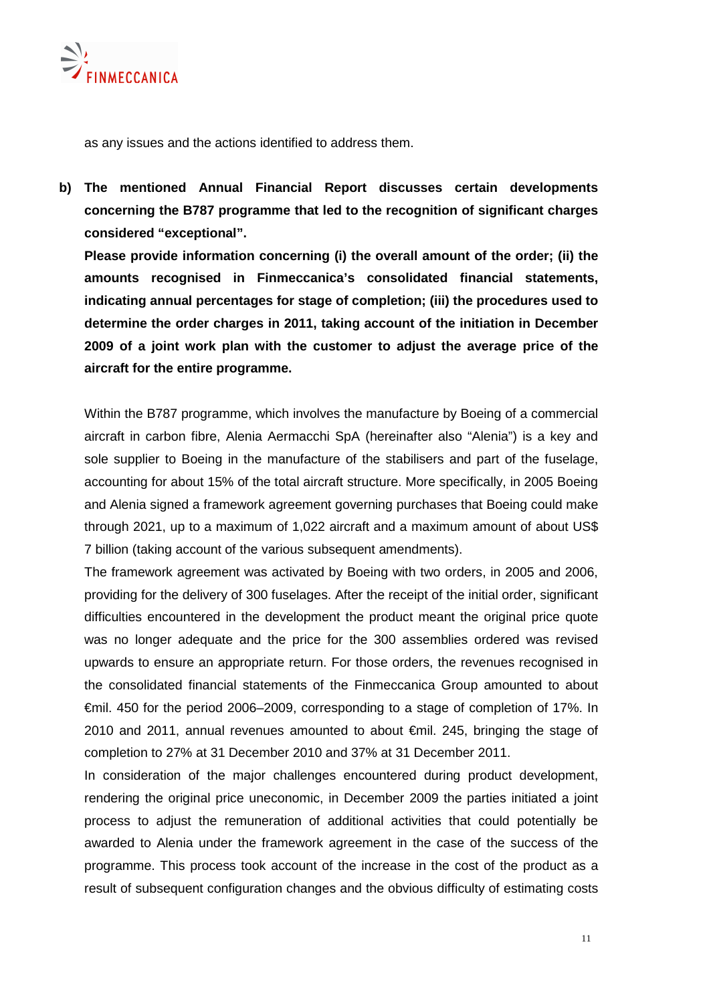

as any issues and the actions identified to address them.

**b) The mentioned Annual Financial Report discusses certain developments concerning the B787 programme that led to the recognition of significant charges considered "exceptional".** 

**Please provide information concerning (i) the overall amount of the order; (ii) the amounts recognised in Finmeccanica's consolidated financial statements, indicating annual percentages for stage of completion; (iii) the procedures used to determine the order charges in 2011, taking account of the initiation in December 2009 of a joint work plan with the customer to adjust the average price of the aircraft for the entire programme.** 

Within the B787 programme, which involves the manufacture by Boeing of a commercial aircraft in carbon fibre, Alenia Aermacchi SpA (hereinafter also "Alenia") is a key and sole supplier to Boeing in the manufacture of the stabilisers and part of the fuselage, accounting for about 15% of the total aircraft structure. More specifically, in 2005 Boeing and Alenia signed a framework agreement governing purchases that Boeing could make through 2021, up to a maximum of 1,022 aircraft and a maximum amount of about US\$ 7 billion (taking account of the various subsequent amendments).

The framework agreement was activated by Boeing with two orders, in 2005 and 2006, providing for the delivery of 300 fuselages. After the receipt of the initial order, significant difficulties encountered in the development the product meant the original price quote was no longer adequate and the price for the 300 assemblies ordered was revised upwards to ensure an appropriate return. For those orders, the revenues recognised in the consolidated financial statements of the Finmeccanica Group amounted to about €mil. 450 for the period 2006–2009, corresponding to a stage of completion of 17%. In 2010 and 2011, annual revenues amounted to about €mil. 245, bringing the stage of completion to 27% at 31 December 2010 and 37% at 31 December 2011.

In consideration of the major challenges encountered during product development, rendering the original price uneconomic, in December 2009 the parties initiated a joint process to adjust the remuneration of additional activities that could potentially be awarded to Alenia under the framework agreement in the case of the success of the programme. This process took account of the increase in the cost of the product as a result of subsequent configuration changes and the obvious difficulty of estimating costs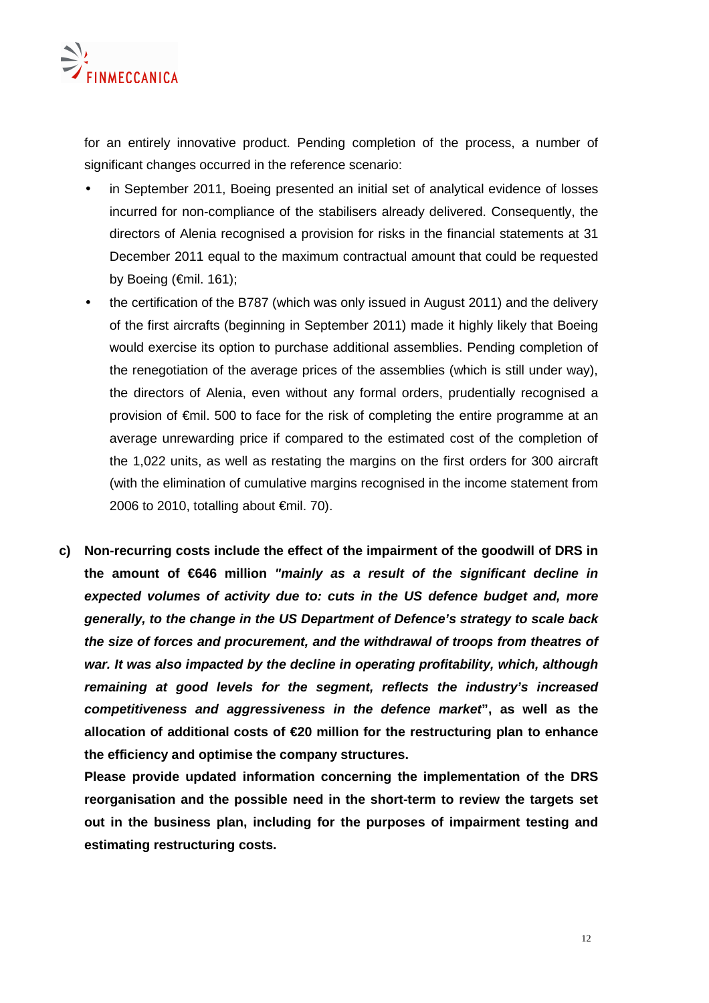

for an entirely innovative product. Pending completion of the process, a number of significant changes occurred in the reference scenario:

- in September 2011, Boeing presented an initial set of analytical evidence of losses incurred for non-compliance of the stabilisers already delivered. Consequently, the directors of Alenia recognised a provision for risks in the financial statements at 31 December 2011 equal to the maximum contractual amount that could be requested by Boeing (€mil. 161);
- the certification of the B787 (which was only issued in August 2011) and the delivery of the first aircrafts (beginning in September 2011) made it highly likely that Boeing would exercise its option to purchase additional assemblies. Pending completion of the renegotiation of the average prices of the assemblies (which is still under way), the directors of Alenia, even without any formal orders, prudentially recognised a provision of €mil. 500 to face for the risk of completing the entire programme at an average unrewarding price if compared to the estimated cost of the completion of the 1,022 units, as well as restating the margins on the first orders for 300 aircraft (with the elimination of cumulative margins recognised in the income statement from 2006 to 2010, totalling about  $\epsilon$ mil. 70).
- **c) Non-recurring costs include the effect of the impairment of the goodwill of DRS in the amount of €646 million "mainly as a result of the significant decline in expected volumes of activity due to: cuts in the US defence budget and, more generally, to the change in the US Department of Defence's strategy to scale back the size of forces and procurement, and the withdrawal of troops from theatres of war. It was also impacted by the decline in operating profitability, which, although remaining at good levels for the segment, reflects the industry's increased competitiveness and aggressiveness in the defence market", as well as the allocation of additional costs of €20 million for the restructuring plan to enhance the efficiency and optimise the company structures.**

**Please provide updated information concerning the implementation of the DRS reorganisation and the possible need in the short-term to review the targets set out in the business plan, including for the purposes of impairment testing and estimating restructuring costs.**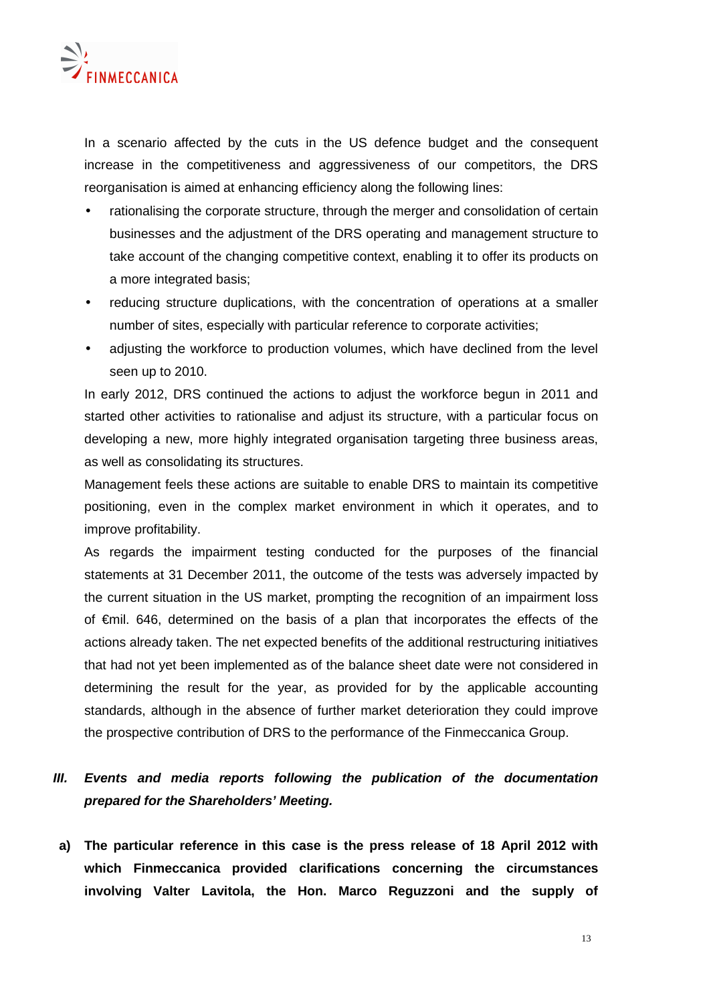

In a scenario affected by the cuts in the US defence budget and the consequent increase in the competitiveness and aggressiveness of our competitors, the DRS reorganisation is aimed at enhancing efficiency along the following lines:

- rationalising the corporate structure, through the merger and consolidation of certain businesses and the adjustment of the DRS operating and management structure to take account of the changing competitive context, enabling it to offer its products on a more integrated basis;
- reducing structure duplications, with the concentration of operations at a smaller number of sites, especially with particular reference to corporate activities;
- adjusting the workforce to production volumes, which have declined from the level seen up to 2010.

In early 2012, DRS continued the actions to adjust the workforce begun in 2011 and started other activities to rationalise and adjust its structure, with a particular focus on developing a new, more highly integrated organisation targeting three business areas, as well as consolidating its structures.

Management feels these actions are suitable to enable DRS to maintain its competitive positioning, even in the complex market environment in which it operates, and to improve profitability.

As regards the impairment testing conducted for the purposes of the financial statements at 31 December 2011, the outcome of the tests was adversely impacted by the current situation in the US market, prompting the recognition of an impairment loss of €mil. 646, determined on the basis of a plan that incorporates the effects of the actions already taken. The net expected benefits of the additional restructuring initiatives that had not yet been implemented as of the balance sheet date were not considered in determining the result for the year, as provided for by the applicable accounting standards, although in the absence of further market deterioration they could improve the prospective contribution of DRS to the performance of the Finmeccanica Group.

## **III. Events and media reports following the publication of the documentation prepared for the Shareholders' Meeting.**

**a) The particular reference in this case is the press release of 18 April 2012 with which Finmeccanica provided clarifications concerning the circumstances involving Valter Lavitola, the Hon. Marco Reguzzoni and the supply of**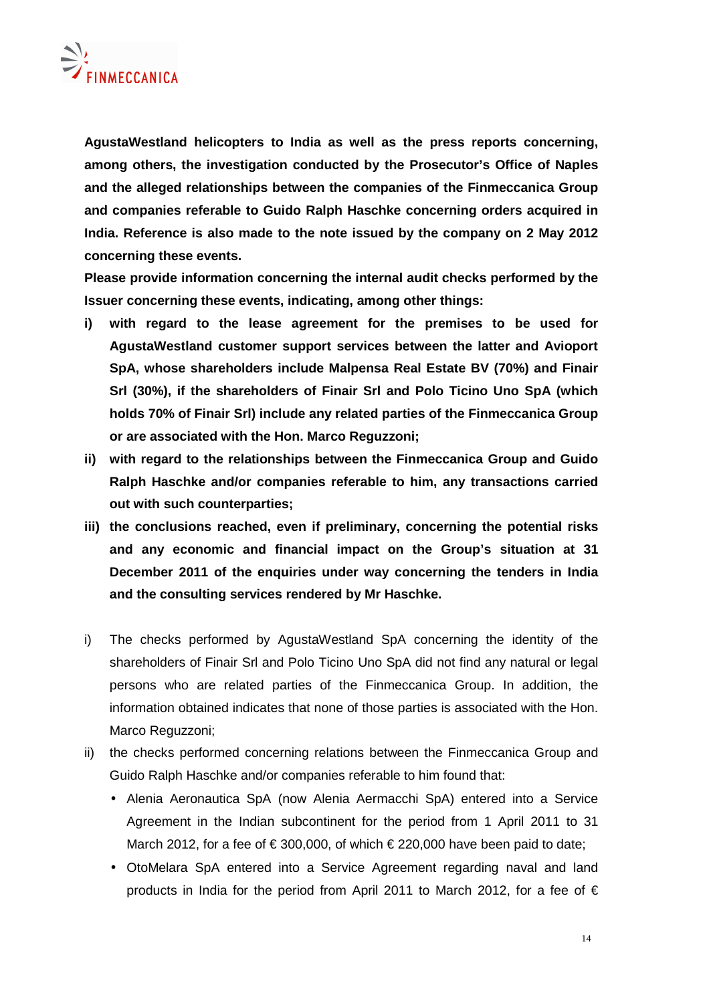

**AgustaWestland helicopters to India as well as the press reports concerning, among others, the investigation conducted by the Prosecutor's Office of Naples and the alleged relationships between the companies of the Finmeccanica Group and companies referable to Guido Ralph Haschke concerning orders acquired in India. Reference is also made to the note issued by the company on 2 May 2012 concerning these events.** 

**Please provide information concerning the internal audit checks performed by the Issuer concerning these events, indicating, among other things:** 

- **i) with regard to the lease agreement for the premises to be used for AgustaWestland customer support services between the latter and Avioport SpA, whose shareholders include Malpensa Real Estate BV (70%) and Finair Srl (30%), if the shareholders of Finair Srl and Polo Ticino Uno SpA (which holds 70% of Finair Srl) include any related parties of the Finmeccanica Group or are associated with the Hon. Marco Reguzzoni;**
- **ii) with regard to the relationships between the Finmeccanica Group and Guido Ralph Haschke and/or companies referable to him, any transactions carried out with such counterparties;**
- **iii) the conclusions reached, even if preliminary, concerning the potential risks and any economic and financial impact on the Group's situation at 31 December 2011 of the enquiries under way concerning the tenders in India and the consulting services rendered by Mr Haschke.**
- i) The checks performed by AgustaWestland SpA concerning the identity of the shareholders of Finair Srl and Polo Ticino Uno SpA did not find any natural or legal persons who are related parties of the Finmeccanica Group. In addition, the information obtained indicates that none of those parties is associated with the Hon. Marco Reguzzoni;
- ii) the checks performed concerning relations between the Finmeccanica Group and Guido Ralph Haschke and/or companies referable to him found that:
	- Alenia Aeronautica SpA (now Alenia Aermacchi SpA) entered into a Service Agreement in the Indian subcontinent for the period from 1 April 2011 to 31 March 2012, for a fee of  $\epsilon$  300,000, of which  $\epsilon$  220,000 have been paid to date;
	- OtoMelara SpA entered into a Service Agreement regarding naval and land products in India for the period from April 2011 to March 2012, for a fee of  $\epsilon$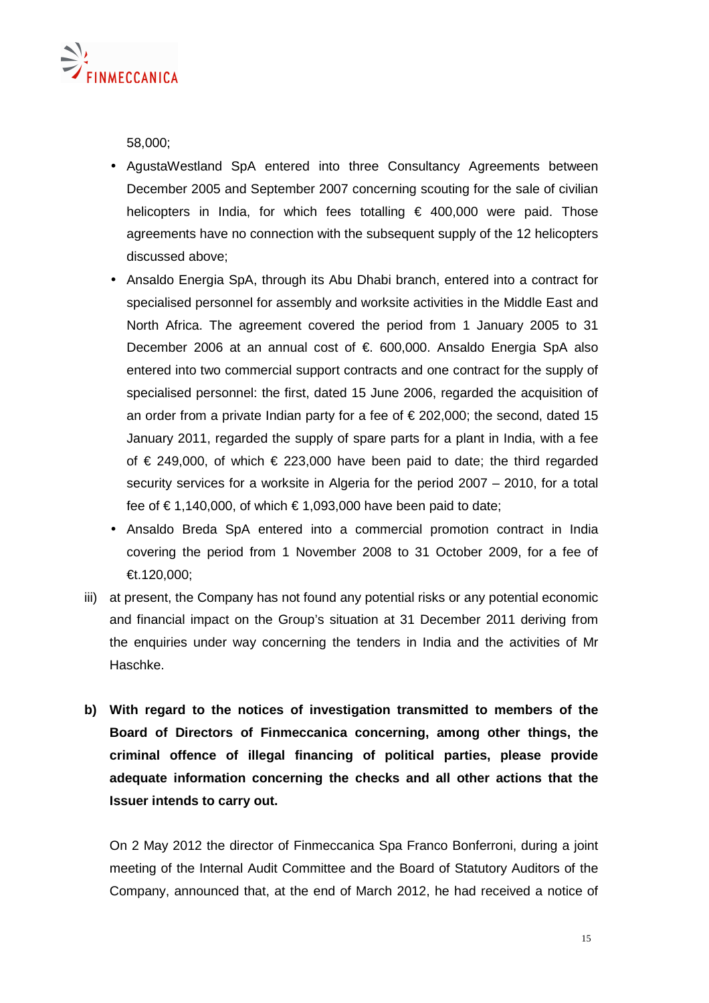

58,000;

- AgustaWestland SpA entered into three Consultancy Agreements between December 2005 and September 2007 concerning scouting for the sale of civilian helicopters in India, for which fees totalling  $\epsilon$  400,000 were paid. Those agreements have no connection with the subsequent supply of the 12 helicopters discussed above;
- Ansaldo Energia SpA, through its Abu Dhabi branch, entered into a contract for specialised personnel for assembly and worksite activities in the Middle East and North Africa. The agreement covered the period from 1 January 2005 to 31 December 2006 at an annual cost of €. 600,000. Ansaldo Energia SpA also entered into two commercial support contracts and one contract for the supply of specialised personnel: the first, dated 15 June 2006, regarded the acquisition of an order from a private Indian party for a fee of  $\epsilon$  202,000; the second, dated 15 January 2011, regarded the supply of spare parts for a plant in India, with a fee of  $€$  249,000, of which  $€$  223,000 have been paid to date; the third regarded security services for a worksite in Algeria for the period 2007 – 2010, for a total fee of € 1,140,000, of which  $€$  1,093,000 have been paid to date;
- Ansaldo Breda SpA entered into a commercial promotion contract in India covering the period from 1 November 2008 to 31 October 2009, for a fee of €t.120,000;
- iii) at present, the Company has not found any potential risks or any potential economic and financial impact on the Group's situation at 31 December 2011 deriving from the enquiries under way concerning the tenders in India and the activities of Mr Haschke.
- **b) With regard to the notices of investigation transmitted to members of the Board of Directors of Finmeccanica concerning, among other things, the criminal offence of illegal financing of political parties, please provide adequate information concerning the checks and all other actions that the Issuer intends to carry out.**

On 2 May 2012 the director of Finmeccanica Spa Franco Bonferroni, during a joint meeting of the Internal Audit Committee and the Board of Statutory Auditors of the Company, announced that, at the end of March 2012, he had received a notice of